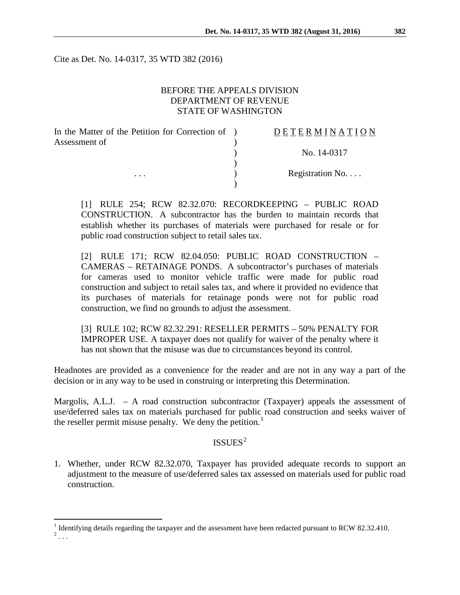Cite as Det. No. 14-0317, 35 WTD 382 (2016)

## BEFORE THE APPEALS DIVISION DEPARTMENT OF REVENUE STATE OF WASHINGTON

| In the Matter of the Petition for Correction of ) | DETERMINATION   |
|---------------------------------------------------|-----------------|
| Assessment of<br>$\cdots$                         |                 |
|                                                   | No. 14-0317     |
|                                                   | Registration No |
|                                                   |                 |

[1] RULE 254; RCW 82.32.070: RECORDKEEPING – PUBLIC ROAD CONSTRUCTION. A subcontractor has the burden to maintain records that establish whether its purchases of materials were purchased for resale or for public road construction subject to retail sales tax.

[2] RULE 171; RCW 82.04.050: PUBLIC ROAD CONSTRUCTION – CAMERAS – RETAINAGE PONDS. A subcontractor's purchases of materials for cameras used to monitor vehicle traffic were made for public road construction and subject to retail sales tax, and where it provided no evidence that its purchases of materials for retainage ponds were not for public road construction, we find no grounds to adjust the assessment.

[3] RULE 102; RCW 82.32.291: RESELLER PERMITS – 50% PENALTY FOR IMPROPER USE. A taxpayer does not qualify for waiver of the penalty where it has not shown that the misuse was due to circumstances beyond its control.

Headnotes are provided as a convenience for the reader and are not in any way a part of the decision or in any way to be used in construing or interpreting this Determination.

Margolis, A.L.J. – A road construction subcontractor (Taxpayer) appeals the assessment of use/deferred sales tax on materials purchased for public road construction and seeks waiver of the reseller permit misuse penalty. We deny the petition.<sup>[1](#page-0-0)</sup>

# $ISSUES<sup>2</sup>$  $ISSUES<sup>2</sup>$  $ISSUES<sup>2</sup>$

1. Whether, under RCW 82.32.070, Taxpayer has provided adequate records to support an adjustment to the measure of use/deferred sales tax assessed on materials used for public road construction.

<span id="page-0-1"></span><span id="page-0-0"></span> $\frac{1}{2}$  Identifying details regarding the taxpayer and the assessment have been redacted pursuant to RCW 82.32.410.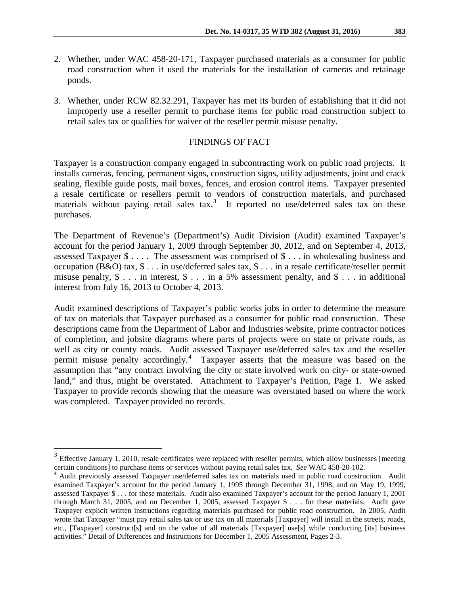- 2. Whether, under WAC 458-20-171, Taxpayer purchased materials as a consumer for public road construction when it used the materials for the installation of cameras and retainage ponds.
- 3. Whether, under RCW 82.32.291, Taxpayer has met its burden of establishing that it did not improperly use a reseller permit to purchase items for public road construction subject to retail sales tax or qualifies for waiver of the reseller permit misuse penalty.

#### FINDINGS OF FACT

Taxpayer is a construction company engaged in subcontracting work on public road projects. It installs cameras, fencing, permanent signs, construction signs, utility adjustments, joint and crack sealing, flexible guide posts, mail boxes, fences, and erosion control items. Taxpayer presented a resale certificate or resellers permit to vendors of construction materials, and purchased materials without paying retail sales tax.<sup>[3](#page-1-0)</sup> It reported no use/deferred sales tax on these purchases.

The Department of Revenue's (Department's) Audit Division (Audit) examined Taxpayer's account for the period January 1, 2009 through September 30, 2012, and on September 4, 2013, assessed Taxpayer \$ . . . . The assessment was comprised of \$ . . . in wholesaling business and occupation (B&O) tax, \$ . . . in use/deferred sales tax, \$ . . . in a resale certificate/reseller permit misuse penalty,  $\$ \dots$  in interest,  $\$ \dots$  in a 5% assessment penalty, and  $\$ \dots$  in additional interest from July 16, 2013 to October 4, 2013.

Audit examined descriptions of Taxpayer's public works jobs in order to determine the measure of tax on materials that Taxpayer purchased as a consumer for public road construction. These descriptions came from the Department of Labor and Industries website, prime contractor notices of completion, and jobsite diagrams where parts of projects were on state or private roads, as well as city or county roads. Audit assessed Taxpayer use/deferred sales tax and the reseller permit misuse penalty accordingly.<sup>[4](#page-1-1)</sup> Taxpayer asserts that the measure was based on the assumption that "any contract involving the city or state involved work on city- or state-owned land," and thus, might be overstated. Attachment to Taxpayer's Petition, Page 1. We asked Taxpayer to provide records showing that the measure was overstated based on where the work was completed. Taxpayer provided no records.

<span id="page-1-0"></span><sup>&</sup>lt;sup>3</sup> Effective January 1, 2010, resale certificates were replaced with reseller permits, which allow businesses [meeting certain conditions] to purchase items or services without paying retail sales tax. *See* WAC 458-20-1

<span id="page-1-1"></span><sup>&</sup>lt;sup>4</sup> Audit previously assessed Taxpayer use/deferred sales tax on materials used in public road construction. Audit examined Taxpayer's account for the period January 1, 1995 through December 31, 1998, and on May 19, 1999, assessed Taxpayer \$ . . . for these materials. Audit also examined Taxpayer's account for the period January 1, 2001 through March 31, 2005, and on December 1, 2005, assessed Taxpayer \$ . . . for these materials. Audit gave Taxpayer explicit written instructions regarding materials purchased for public road construction. In 2005, Audit wrote that Taxpayer "must pay retail sales tax or use tax on all materials [Taxpayer] will install in the streets, roads, etc., [Taxpayer] construct[s] and on the value of all materials [Taxpayer] use[s] while conducting [its] business activities." Detail of Differences and Instructions for December 1, 2005 Assessment, Pages 2-3.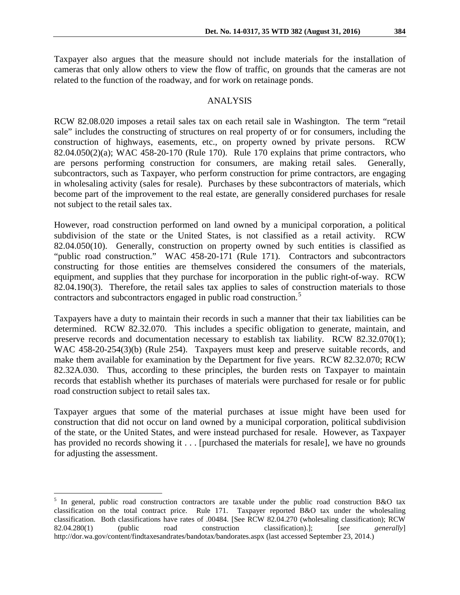Taxpayer also argues that the measure should not include materials for the installation of cameras that only allow others to view the flow of traffic, on grounds that the cameras are not related to the function of the roadway, and for work on retainage ponds.

#### ANALYSIS

RCW 82.08.020 imposes a retail sales tax on each retail sale in Washington. The term "retail sale" includes the constructing of structures on real property of or for consumers, including the construction of highways, easements, etc., on property owned by private persons. RCW 82.04.050(2)(a); WAC 458-20-170 (Rule 170). Rule 170 explains that prime contractors, who are persons performing construction for consumers, are making retail sales. Generally, subcontractors, such as Taxpayer, who perform construction for prime contractors, are engaging in wholesaling activity (sales for resale). Purchases by these subcontractors of materials, which become part of the improvement to the real estate, are generally considered purchases for resale not subject to the retail sales tax.

However, road construction performed on land owned by a municipal corporation, a political subdivision of the state or the United States, is not classified as a retail activity. RCW 82.04.050(10). Generally, construction on property owned by such entities is classified as "public road construction." WAC 458-20-171 (Rule 171). Contractors and subcontractors constructing for those entities are themselves considered the consumers of the materials, equipment, and supplies that they purchase for incorporation in the public right-of-way. RCW 82.04.190(3). Therefore, the retail sales tax applies to sales of construction materials to those contractors and subcontractors engaged in public road construction.<sup>[5](#page-2-0)</sup>

Taxpayers have a duty to maintain their records in such a manner that their tax liabilities can be determined. RCW 82.32.070. This includes a specific obligation to generate, maintain, and preserve records and documentation necessary to establish tax liability. RCW 82.32.070(1); WAC 458-20-254(3)(b) (Rule 254). Taxpayers must keep and preserve suitable records, and make them available for examination by the Department for five years. RCW 82.32.070; RCW 82.32A.030. Thus, according to these principles, the burden rests on Taxpayer to maintain records that establish whether its purchases of materials were purchased for resale or for public road construction subject to retail sales tax.

Taxpayer argues that some of the material purchases at issue might have been used for construction that did not occur on land owned by a municipal corporation, political subdivision of the state, or the United States, and were instead purchased for resale. However, as Taxpayer has provided no records showing it . . . [purchased the materials for resale], we have no grounds for adjusting the assessment.

<span id="page-2-0"></span><sup>&</sup>lt;sup>5</sup> In general, public road construction contractors are taxable under the public road construction B&O tax classification on the total contract price. Rule 171. Taxpayer reported B&O tax under the wholesaling classification. Both classifications have rates of .00484. [See RCW 82.04.270 (wholesaling classification); RCW 82.04.280(1) (public road construction classification).]; [*see generally*] http://dor.wa.gov/content/findtaxesandrates/bandotax/bandorates.aspx (last accessed September 23, 2014.)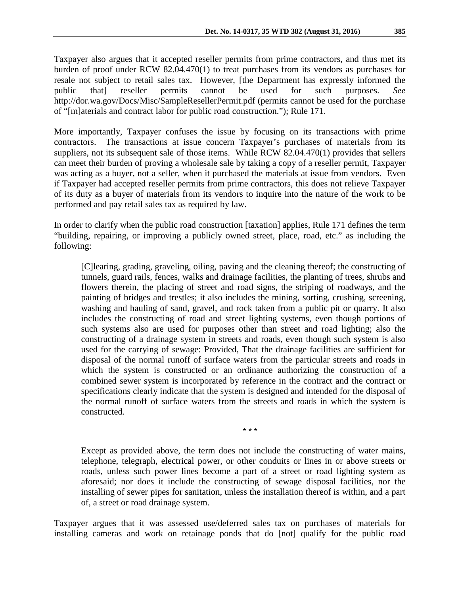Taxpayer also argues that it accepted reseller permits from prime contractors, and thus met its burden of proof under RCW 82.04.470(1) to treat purchases from its vendors as purchases for resale not subject to retail sales tax. However, [the Department has expressly informed the public that] reseller permits cannot be used for such purposes. *See* http://dor.wa.gov/Docs/Misc/SampleResellerPermit.pdf (permits cannot be used for the purchase of "[m]aterials and contract labor for public road construction."); Rule 171.

More importantly, Taxpayer confuses the issue by focusing on its transactions with prime contractors. The transactions at issue concern Taxpayer's purchases of materials from its suppliers, not its subsequent sale of those items. While RCW 82.04.470(1) provides that sellers can meet their burden of proving a wholesale sale by taking a copy of a reseller permit, Taxpayer was acting as a buyer, not a seller, when it purchased the materials at issue from vendors. Even if Taxpayer had accepted reseller permits from prime contractors, this does not relieve Taxpayer of its duty as a buyer of materials from its vendors to inquire into the nature of the work to be performed and pay retail sales tax as required by law.

In order to clarify when the public road construction [taxation] applies, Rule 171 defines the term "building, repairing, or improving a publicly owned street, place, road, etc." as including the following:

[C]learing, grading, graveling, oiling, paving and the cleaning thereof; the constructing of tunnels, guard rails, fences, walks and drainage facilities, the planting of trees, shrubs and flowers therein, the placing of street and road signs, the striping of roadways, and the painting of bridges and trestles; it also includes the mining, sorting, crushing, screening, washing and hauling of sand, gravel, and rock taken from a public pit or quarry. It also includes the constructing of road and street lighting systems, even though portions of such systems also are used for purposes other than street and road lighting; also the constructing of a drainage system in streets and roads, even though such system is also used for the carrying of sewage: Provided, That the drainage facilities are sufficient for disposal of the normal runoff of surface waters from the particular streets and roads in which the system is constructed or an ordinance authorizing the construction of a combined sewer system is incorporated by reference in the contract and the contract or specifications clearly indicate that the system is designed and intended for the disposal of the normal runoff of surface waters from the streets and roads in which the system is constructed.

\* \* \*

Except as provided above, the term does not include the constructing of water mains, telephone, telegraph, electrical power, or other conduits or lines in or above streets or roads, unless such power lines become a part of a street or road lighting system as aforesaid; nor does it include the constructing of sewage disposal facilities, nor the installing of sewer pipes for sanitation, unless the installation thereof is within, and a part of, a street or road drainage system.

Taxpayer argues that it was assessed use/deferred sales tax on purchases of materials for installing cameras and work on retainage ponds that do [not] qualify for the public road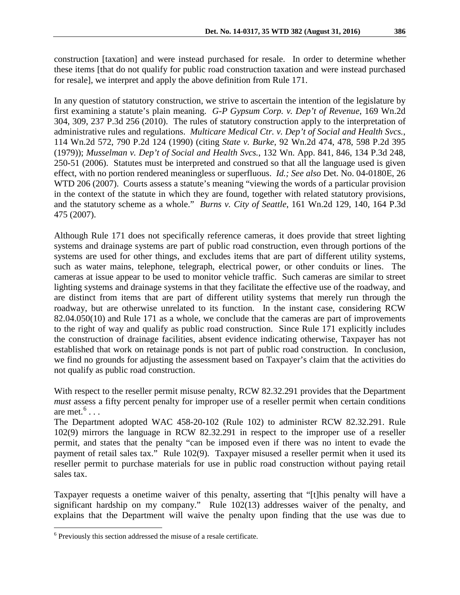construction [taxation] and were instead purchased for resale. In order to determine whether these items [that do not qualify for public road construction taxation and were instead purchased for resale], we interpret and apply the above definition from Rule 171.

In any question of statutory construction, we strive to ascertain the intention of the legislature by first examining a statute's plain meaning. *G-P Gypsum Corp. v. Dep't of Revenue*, 169 Wn.2d 304, 309, 237 P.3d 256 (2010). The rules of statutory construction apply to the interpretation of administrative rules and regulations. *Multicare Medical Ctr. v. Dep't of Social and Health Svcs.*, 114 Wn.2d 572, 790 P.2d 124 (1990) (citing *State v. Burke*, 92 Wn.2d 474, 478, 598 P.2d 395 (1979)); *Musselman v. Dep't of Social and Health Svcs.*, 132 Wn. App. 841, 846, 134 P.3d 248, 250-51 (2006). Statutes must be interpreted and construed so that all the language used is given effect, with no portion rendered meaningless or superfluous. *Id.; See also* Det. No. 04-0180E, 26 WTD 206 (2007). Courts assess a statute's meaning "viewing the words of a particular provision in the context of the statute in which they are found, together with related statutory provisions, and the statutory scheme as a whole." *Burns v. City of Seattle*, 161 Wn.2d 129, 140, 164 P.3d 475 (2007).

Although Rule 171 does not specifically reference cameras, it does provide that street lighting systems and drainage systems are part of public road construction, even through portions of the systems are used for other things, and excludes items that are part of different utility systems, such as water mains, telephone, telegraph, electrical power, or other conduits or lines. The cameras at issue appear to be used to monitor vehicle traffic. Such cameras are similar to street lighting systems and drainage systems in that they facilitate the effective use of the roadway, and are distinct from items that are part of different utility systems that merely run through the roadway, but are otherwise unrelated to its function. In the instant case, considering RCW 82.04.050(10) and Rule 171 as a whole, we conclude that the cameras are part of improvements to the right of way and qualify as public road construction. Since Rule 171 explicitly includes the construction of drainage facilities, absent evidence indicating otherwise, Taxpayer has not established that work on retainage ponds is not part of public road construction. In conclusion, we find no grounds for adjusting the assessment based on Taxpayer's claim that the activities do not qualify as public road construction.

With respect to the reseller permit misuse penalty, RCW 82.32.291 provides that the Department *must* assess a fifty percent penalty for improper use of a reseller permit when certain conditions are met. $6 \ldots$  $6 \ldots$ 

The Department adopted WAC 458-20-102 (Rule 102) to administer RCW 82.32.291. Rule 102(9) mirrors the language in RCW 82.32.291 in respect to the improper use of a reseller permit, and states that the penalty "can be imposed even if there was no intent to evade the payment of retail sales tax." Rule 102(9). Taxpayer misused a reseller permit when it used its reseller permit to purchase materials for use in public road construction without paying retail sales tax.

Taxpayer requests a onetime waiver of this penalty, asserting that "[t]his penalty will have a significant hardship on my company." Rule 102(13) addresses waiver of the penalty, and explains that the Department will waive the penalty upon finding that the use was due to

<span id="page-4-0"></span> <sup>6</sup> Previously this section addressed the misuse of a resale certificate.